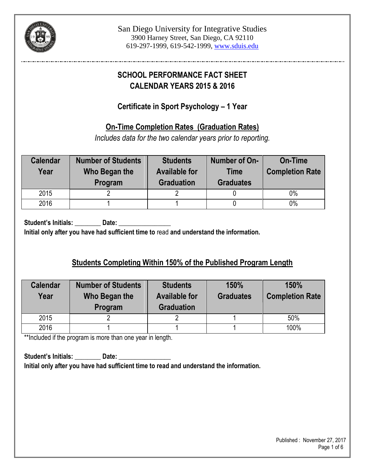

# **SCHOOL PERFORMANCE FACT SHEET CALENDAR YEARS 2015 & 2016**

### **Certificate in Sport Psychology – 1 Year**

### **On-Time Completion Rates (Graduation Rates)**

*Includes data for the two calendar years prior to reporting.*

| <b>Calendar</b><br>Year | <b>Number of Students</b><br>Who Began the<br>Program | <b>Students</b><br><b>Available for</b><br><b>Graduation</b> | Number of On-<br><b>Time</b><br><b>Graduates</b> | <b>On-Time</b><br><b>Completion Rate</b> |
|-------------------------|-------------------------------------------------------|--------------------------------------------------------------|--------------------------------------------------|------------------------------------------|
| 2015                    |                                                       |                                                              |                                                  | $0\%$                                    |
| 2016                    |                                                       |                                                              |                                                  | $0\%$                                    |

Student's Initials: Date:

**Initial only after you have had sufficient time to** read **and understand the information.**

## **Students Completing Within 150% of the Published Program Length**

| <b>Calendar</b><br>Year | <b>Number of Students</b><br><b>Students</b><br><b>Available for</b><br>Who Began the<br><b>Graduation</b><br>Program |  | 150%<br><b>Graduates</b> | 150%<br><b>Completion Rate</b> |
|-------------------------|-----------------------------------------------------------------------------------------------------------------------|--|--------------------------|--------------------------------|
| 2015                    |                                                                                                                       |  |                          | 50%                            |
| 2016                    |                                                                                                                       |  |                          | 100%                           |

\*\*Included if the program is more than one year in length.

Student's Initials: **Date:** Date: **Initial only after you have had sufficient time to read and understand the information.**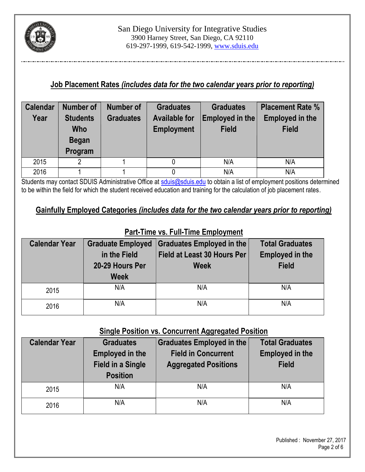

### **Job Placement Rates** *(includes data for the two calendar years prior to reporting)*

| <b>Calendar</b> | <b>Number of</b> | <b>Number of</b>                         | <b>Graduates</b>  | <b>Graduates</b> | <b>Placement Rate %</b> |  |
|-----------------|------------------|------------------------------------------|-------------------|------------------|-------------------------|--|
| Year            | <b>Students</b>  | <b>Graduates</b><br><b>Available for</b> |                   | Employed in the  | <b>Employed in the</b>  |  |
|                 | <b>Who</b>       |                                          | <b>Employment</b> | <b>Field</b>     | <b>Field</b>            |  |
|                 | <b>Began</b>     |                                          |                   |                  |                         |  |
|                 | Program          |                                          |                   |                  |                         |  |
| 2015            | פ                |                                          |                   | N/A              | N/A                     |  |
| 2016            |                  |                                          |                   | N/A              | N/A                     |  |

Students may contact SDUIS Administrative Office at [sduis@sduis.edu](mailto:sduis@sduis.edu) to obtain a list of employment positions determined to be within the field for which the student received education and training for the calculation of job placement rates.

### **Gainfully Employed Categories** *(includes data for the two calendar years prior to reporting)*

| <b>Calendar Year</b> | <b>Graduate Employed</b><br>in the Field<br>20-29 Hours Per<br><b>Week</b> | <b>Graduates Employed in the</b><br><b>Field at Least 30 Hours Per</b><br><b>Week</b> | <b>Total Graduates</b><br><b>Employed in the</b><br><b>Field</b> |  |
|----------------------|----------------------------------------------------------------------------|---------------------------------------------------------------------------------------|------------------------------------------------------------------|--|
| 2015                 | N/A                                                                        | N/A                                                                                   | N/A                                                              |  |
| 2016                 | N/A                                                                        | N/A                                                                                   | N/A                                                              |  |

#### **Part-Time vs. Full-Time Employment**

#### **Single Position vs. Concurrent Aggregated Position**

| <b>Calendar Year</b> | <b>Graduates</b><br><b>Employed in the</b><br><b>Field in a Single</b><br><b>Position</b> | Graduates Employed in the<br><b>Field in Concurrent</b><br><b>Aggregated Positions</b> | <b>Total Graduates</b><br><b>Employed in the</b><br><b>Field</b> |  |
|----------------------|-------------------------------------------------------------------------------------------|----------------------------------------------------------------------------------------|------------------------------------------------------------------|--|
| 2015                 | N/A                                                                                       | N/A                                                                                    | N/A                                                              |  |
| 2016                 | N/A                                                                                       | N/A                                                                                    | N/A                                                              |  |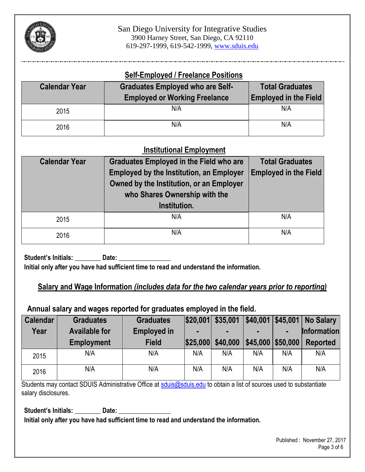

#### **Self-Employed / Freelance Positions**

| <b>Calendar Year</b> | <b>Graduates Employed who are Self-</b><br><b>Employed or Working Freelance</b> | <b>Total Graduates</b><br><b>Employed in the Field</b> |  |
|----------------------|---------------------------------------------------------------------------------|--------------------------------------------------------|--|
| 2015                 | N/A                                                                             | N/A                                                    |  |
| 2016                 | N/A                                                                             | N/A                                                    |  |

### **Institutional Employment**

| <b>Calendar Year</b> | <b>Graduates Employed in the Field who are</b><br><b>Employed by the Institution, an Employer</b><br>Owned by the Institution, or an Employer<br>who Shares Ownership with the<br>Institution. | <b>Total Graduates</b><br><b>Employed in the Field</b> |  |
|----------------------|------------------------------------------------------------------------------------------------------------------------------------------------------------------------------------------------|--------------------------------------------------------|--|
| 2015                 | N/A                                                                                                                                                                                            | N/A                                                    |  |
| 2016                 | N/A                                                                                                                                                                                            | N/A                                                    |  |

Student's Initials: \_\_\_\_\_\_\_\_\_ Date: **Initial only after you have had sufficient time to read and understand the information.**

### **Salary and Wage Information** *(includes data for the two calendar years prior to reporting)*

### **Annual salary and wages reported for graduates employed in the field.**

| <b>Calendar</b> | <b>Graduates</b>     | <b>Graduates</b>   |          | $ $20,001 $ \$35,001 |          |          | \$40,001   \$45,001   No Salary |
|-----------------|----------------------|--------------------|----------|----------------------|----------|----------|---------------------------------|
| Year            | <b>Available for</b> | <b>Employed in</b> |          |                      |          |          | <b>Information</b>              |
|                 | <b>Employment</b>    | <b>Field</b>       | \$25,000 | \$40,000             | \$45,000 | \$50,000 | <b>Reported</b>                 |
| 2015            | N/A                  | N/A                | N/A      | N/A                  | N/A      | N/A      | N/A                             |
| 2016            | N/A                  | N/A                | N/A      | N/A                  | N/A      | N/A      | N/A                             |

Students may contact SDUIS Administrative Office at [sduis@sduis.edu](mailto:sduis@sduis.edu) to obtain a list of sources used to substantiate salary disclosures.

Student's Initials: **Date: Date: Date: Date: Date: Date: Date: Date: Date: Date: Date: Date: Date: Date: Date: Date: Date: Date: Date: Date: Date: Date: Date: Date: Date: D Initial only after you have had sufficient time to read and understand the information.**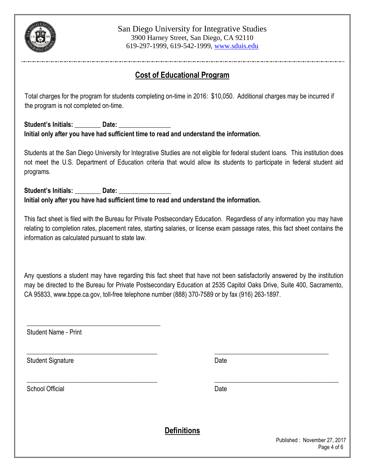

## **Cost of Educational Program**

 Total charges for the program for students completing on-time in 2016: \$10,050. Additional charges may be incurred if the program is not completed on-time.

#### Student's Initials: **Date: Initial only after you have had sufficient time to read and understand the information.**

Students at the San Diego University for Integrative Studies are not eligible for federal student loans. This institution does not meet the U.S. Department of Education criteria that would allow its students to participate in federal student aid programs.

Student's Initials: **Date: Date: Initial only after you have had sufficient time to read and understand the information.**

This fact sheet is filed with the Bureau for Private Postsecondary Education. Regardless of any information you may have relating to completion rates, placement rates, starting salaries, or license exam passage rates, this fact sheet contains the information as calculated pursuant to state law.

Any questions a student may have regarding this fact sheet that have not been satisfactorily answered by the institution may be directed to the Bureau for Private Postsecondary Education at 2535 Capitol Oaks Drive, Suite 400, Sacramento, CA 95833[, www.bppe.ca.gov,](http://www.bppe.ca.gov/) toll-free telephone number (888) 370-7589 or by fax (916) 263-1897.

\_\_\_\_\_\_\_\_\_\_\_\_\_\_\_\_\_\_\_\_\_\_\_\_\_\_\_\_\_\_\_\_\_\_\_\_\_\_\_\_ \_\_\_\_\_\_\_\_\_\_\_\_\_\_\_\_\_\_\_\_\_\_\_\_\_\_\_\_\_\_\_\_\_\_\_

Student Name - Print

 $\overline{\phantom{a}}$  , and the set of the set of the set of the set of the set of the set of the set of the set of the set of the set of the set of the set of the set of the set of the set of the set of the set of the set of the s

Student Signature Date Date Controllers and Date Date Date

School Official **Date** Date of **Date of Contract Contract Official** Date of *Date* 

**Definitions**

\_\_\_\_\_\_\_\_\_\_\_\_\_\_\_\_\_\_\_\_\_\_\_\_\_\_\_\_\_\_\_\_\_\_\_\_\_\_\_\_ \_\_\_\_\_\_\_\_\_\_\_\_\_\_\_\_\_\_\_\_\_\_\_\_\_\_\_\_\_\_\_\_\_\_\_\_\_\_

 Published : November 27, 2017 Page 4 of 6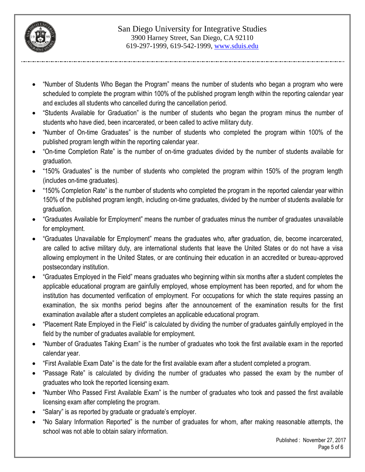

- "Number of Students Who Began the Program" means the number of students who began a program who were scheduled to complete the program within 100% of the published program length within the reporting calendar year and excludes all students who cancelled during the cancellation period.
- "Students Available for Graduation" is the number of students who began the program minus the number of students who have died, been incarcerated, or been called to active military duty.
- "Number of On-time Graduates" is the number of students who completed the program within 100% of the published program length within the reporting calendar year.
- "On-time Completion Rate" is the number of on-time graduates divided by the number of students available for graduation.
- "150% Graduates" is the number of students who completed the program within 150% of the program length (includes on-time graduates).
- "150% Completion Rate" is the number of students who completed the program in the reported calendar year within 150% of the published program length, including on-time graduates, divided by the number of students available for graduation.
- "Graduates Available for Employment" means the number of graduates minus the number of graduates unavailable for employment.
- "Graduates Unavailable for Employment" means the graduates who, after graduation, die, become incarcerated, are called to active military duty, are international students that leave the United States or do not have a visa allowing employment in the United States, or are continuing their education in an accredited or bureau-approved postsecondary institution.
- "Graduates Employed in the Field" means graduates who beginning within six months after a student completes the applicable educational program are gainfully employed, whose employment has been reported, and for whom the institution has documented verification of employment. For occupations for which the state requires passing an examination, the six months period begins after the announcement of the examination results for the first examination available after a student completes an applicable educational program.
- "Placement Rate Employed in the Field" is calculated by dividing the number of graduates gainfully employed in the field by the number of graduates available for employment.
- "Number of Graduates Taking Exam" is the number of graduates who took the first available exam in the reported calendar year.
- "First Available Exam Date" is the date for the first available exam after a student completed a program.
- "Passage Rate" is calculated by dividing the number of graduates who passed the exam by the number of graduates who took the reported licensing exam.
- "Number Who Passed First Available Exam" is the number of graduates who took and passed the first available licensing exam after completing the program.
- "Salary" is as reported by graduate or graduate's employer.
- "No Salary Information Reported" is the number of graduates for whom, after making reasonable attempts, the school was not able to obtain salary information.